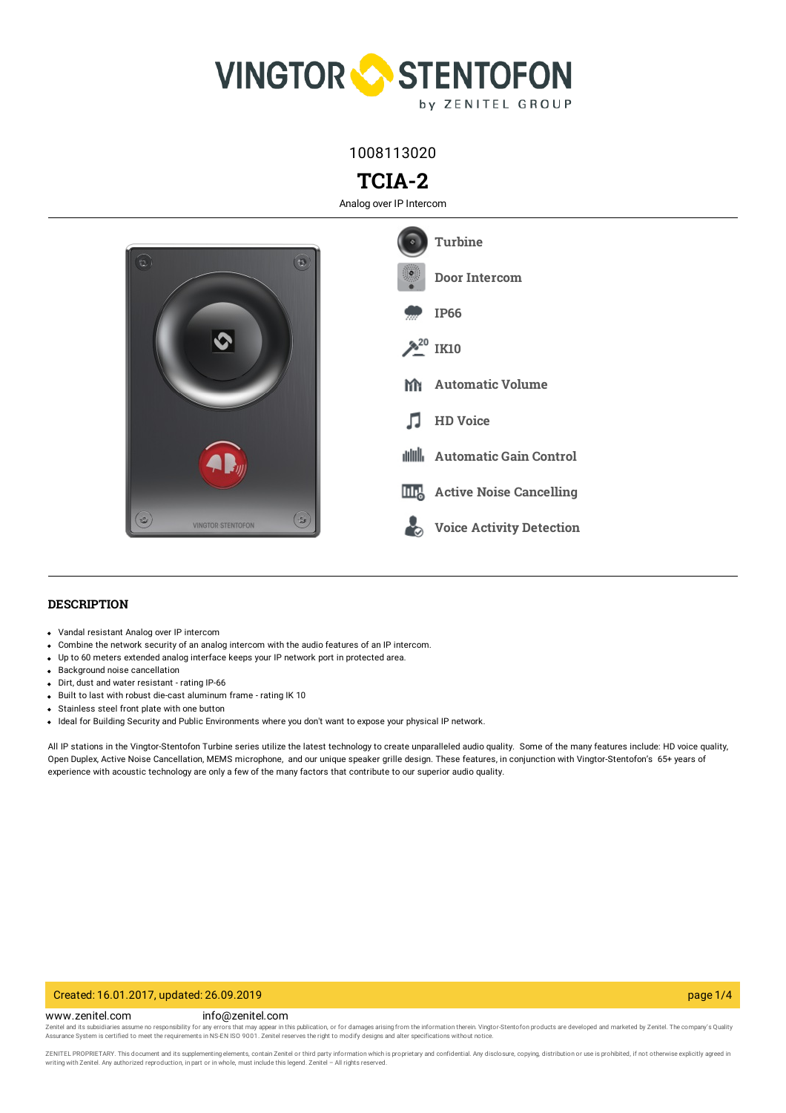

1008113020

# **TCIA-2**

Analog over IP Intercom



## **DESCRIPTION**

- Vandal resistant Analog over IP intercom
- Combine the network security of an analog intercom with the audio features of an IP intercom.
- Up to 60 meters extended analog interface keeps your IP network port in protected area.
- Background noise cancellation
- Dirt, dust and water resistant rating IP-66
- Built to last with robust die-cast aluminum frame rating IK 10
- Stainless steel front plate with one button
- Ideal for Building Security and Public Environments where you don't want to expose your physical IP network.

All IP stations in the Vingtor-Stentofon Turbine series utilize the latest technology to create unparalleled audio quality. Some of the many features include: HD voice quality, Open Duplex, Active Noise Cancellation, MEMS microphone, and our unique speaker grille design. These features, in conjunction with Vingtor-Stentofon's 65+ years of experience with acoustic technology are only a few of the many factors that contribute to our superior audio quality.

#### Created: 16.01.2017, updated: 26.09.2019 page 1/4

#### www.zenitel.com info@zenitel.com

Zenitel and its subsidiaries assume no responsibility for any errors that may appear in this publication, or for damages arising from the information therein. Vingtor-Stentofon products are developed and marketed by Zenite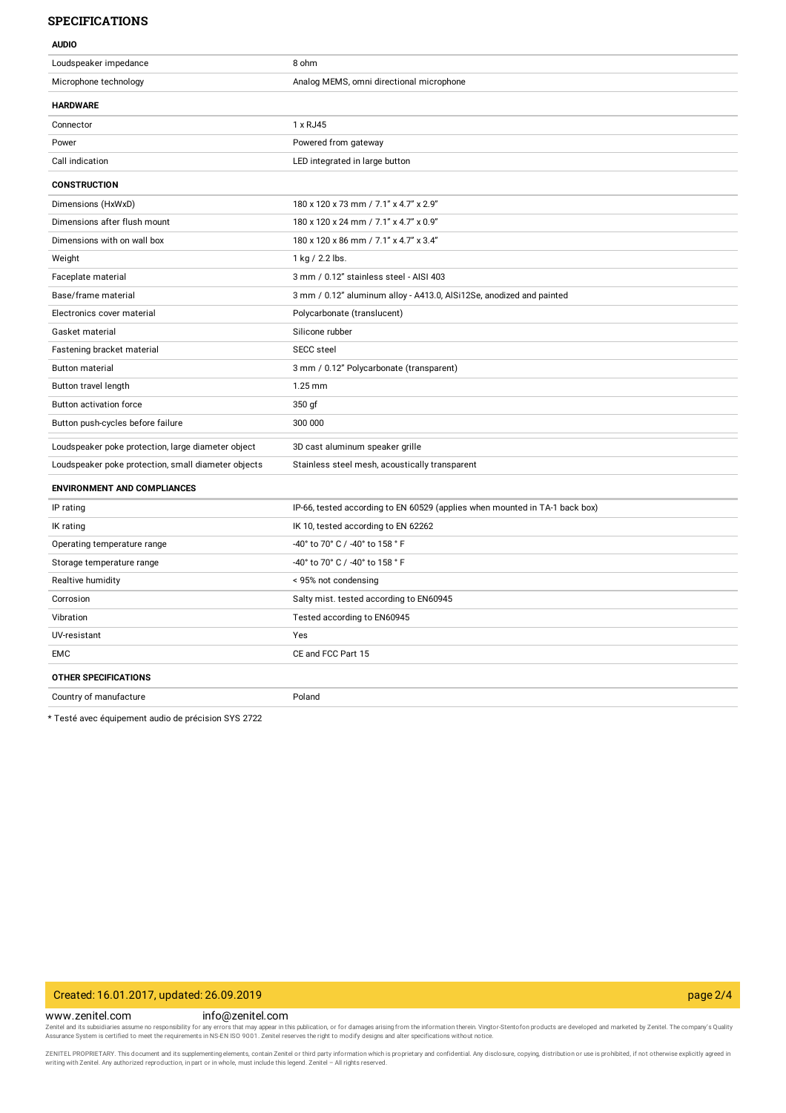### **SPECIFICATIONS**

| <b>AUDIO</b>                                        |                                                                             |
|-----------------------------------------------------|-----------------------------------------------------------------------------|
| Loudspeaker impedance                               | 8 ohm                                                                       |
| Microphone technology                               | Analog MEMS, omni directional microphone                                    |
| <b>HARDWARE</b>                                     |                                                                             |
| Connector                                           | 1 x RJ45                                                                    |
| Power                                               | Powered from gateway                                                        |
| Call indication                                     | LED integrated in large button                                              |
| <b>CONSTRUCTION</b>                                 |                                                                             |
| Dimensions (HxWxD)                                  | 180 x 120 x 73 mm / 7.1" x 4.7" x 2.9"                                      |
| Dimensions after flush mount                        | 180 x 120 x 24 mm / 7.1" x 4.7" x 0.9"                                      |
| Dimensions with on wall box                         | 180 x 120 x 86 mm / 7.1" x 4.7" x 3.4"                                      |
| Weight                                              | 1 kg / 2.2 lbs.                                                             |
| Faceplate material                                  | 3 mm / 0.12" stainless steel - AISI 403                                     |
| Base/frame material                                 | 3 mm / 0.12" aluminum alloy - A413.0, AlSi12Se, anodized and painted        |
| Electronics cover material                          | Polycarbonate (translucent)                                                 |
| Gasket material                                     | Silicone rubber                                                             |
| Fastening bracket material                          | <b>SECC</b> steel                                                           |
| <b>Button material</b>                              | 3 mm / 0.12" Polycarbonate (transparent)                                    |
| Button travel length                                | 1.25 mm                                                                     |
| Button activation force                             | 350 gf                                                                      |
| Button push-cycles before failure                   | 300 000                                                                     |
| Loudspeaker poke protection, large diameter object  | 3D cast aluminum speaker grille                                             |
| Loudspeaker poke protection, small diameter objects | Stainless steel mesh, acoustically transparent                              |
| <b>ENVIRONMENT AND COMPLIANCES</b>                  |                                                                             |
| IP rating                                           | IP-66, tested according to EN 60529 (applies when mounted in TA-1 back box) |
| IK rating                                           | IK 10, tested according to EN 62262                                         |
| Operating temperature range                         | -40° to 70° C / -40° to 158 ° F                                             |
| Storage temperature range                           | -40° to 70° C / -40° to 158 ° F                                             |
| Realtive humidity                                   | < 95% not condensing                                                        |
| Corrosion                                           | Salty mist. tested according to EN60945                                     |
| Vibration                                           | Tested according to EN60945                                                 |
| UV-resistant                                        | Yes                                                                         |
| EMC                                                 | CE and FCC Part 15                                                          |
| <b>OTHER SPECIFICATIONS</b>                         |                                                                             |
| Country of manufacture                              | Poland                                                                      |

\* Testé avec équipement audio de précision SYS 2722

## Created: 16.01.2017, updated: 26.09.2019 page 2/4

www.zenitel.com info@zenitel.com

Zenitel and its subsidiaries assume no responsibility for any errors that may appear in this publication, or for damages arising from the information therein. Vingtor-Stentofon products are developed and marketed by Zenite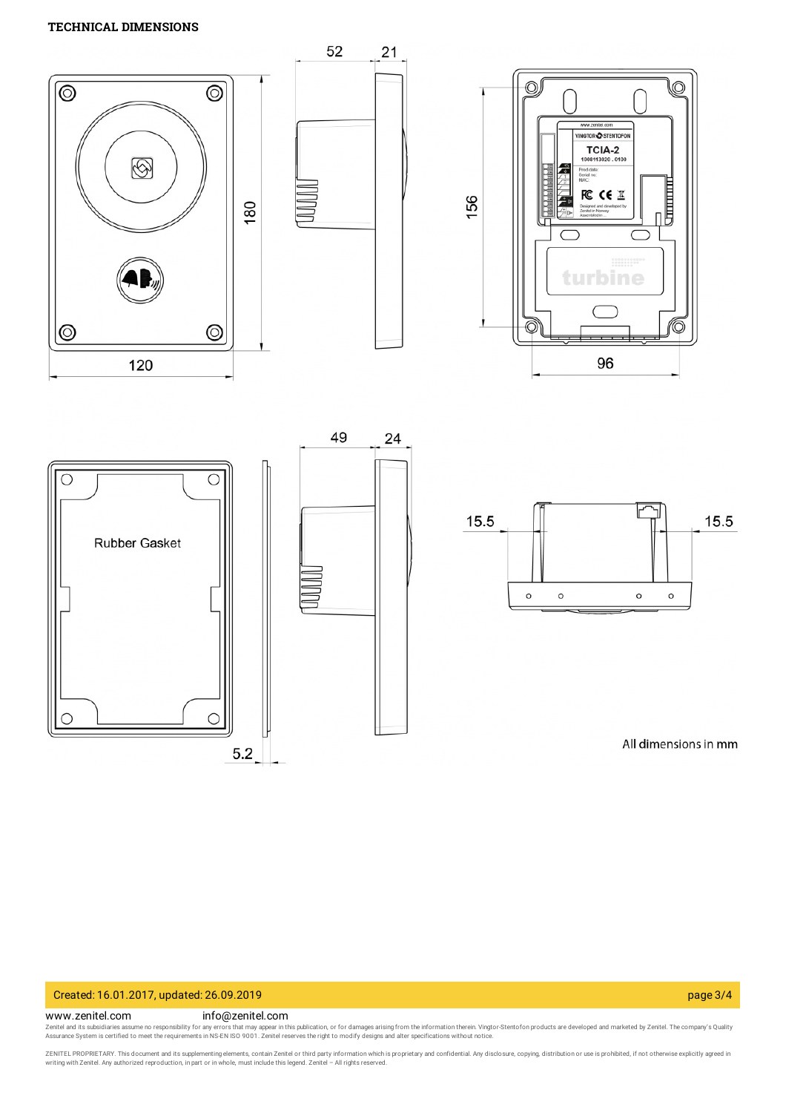## **TECHNICAL DIMENSIONS**



# Created: 16.01.2017, updated: 26.09.2019 page 3/4

#### www.zenitel.com info@zenitel.com

Zenitel and its subsidiaries assume no responsibility for any errors that may appear in this publication, or for damages arising from the information therein. Vingtor-Stentofon products are developed and marketed by Zenite